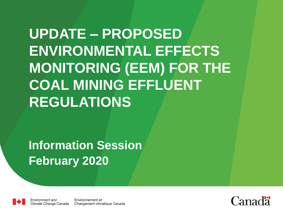**UPDATE – PROPOSED ENVIRONMENTAL EFFECTS MONITORING (EEM) FOR THE COAL MINING EFFLUENT REGULATIONS**

**Information Session February 2020**



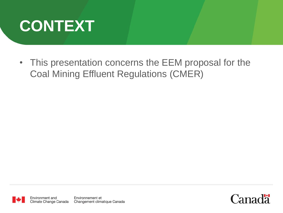

• This presentation concerns the EEM proposal for the Coal Mining Effluent Regulations (CMER)

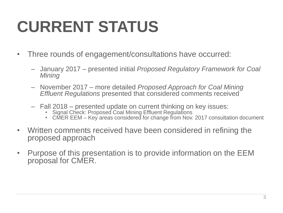## **CURRENT STATUS**

- Three rounds of engagement/consultations have occurred:
	- January 2017 presented initial *Proposed Regulatory Framework for Coal Mining*
	- November 2017 more detailed *Proposed Approach for Coal Mining Effluent Regulations* presented that considered comments received
	- Fall 2018 presented update on current thinking on key issues:
		- Signal Check: Proposed Coal Mining Effluent Regulations
		- CMER EEM Key areas considered for change from Nov. 2017 consultation document
- Written comments received have been considered in refining the proposed approach
- Purpose of this presentation is to provide information on the EEM proposal for CMER.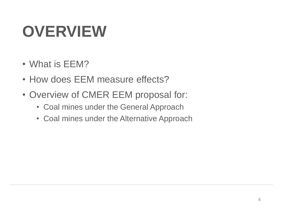## **OVERVIEW**

- What is EEM?
- How does EEM measure effects?
- Overview of CMER EEM proposal for:
	- Coal mines under the General Approach
	- Coal mines under the Alternative Approach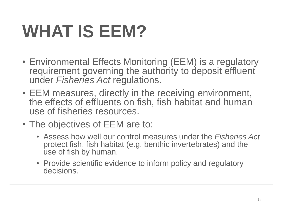## **WHAT IS EEM?**

- Environmental Effects Monitoring (EEM) is a regulatory requirement governing the authority to deposit effluent under *Fisheries Act* regulations.
- EEM measures, directly in the receiving environment, the effects of effluents on fish, fish habitat and human use of fisheries resources.
- The objectives of EEM are to:
	- Assess how well our control measures under the *Fisheries Act*  protect fish, fish habitat (e.g. benthic invertebrates) and the use of fish by human.
	- Provide scientific evidence to inform policy and regulatory decisions.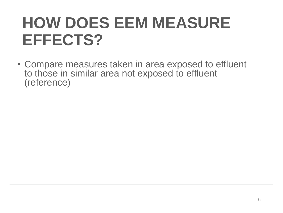## **HOW DOES EEM MEASURE EFFECTS?**

• Compare measures taken in area exposed to effluent to those in similar area not exposed to effluent (reference)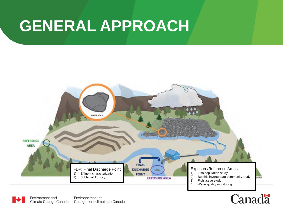### **GENERAL APPROACH**

Environment and

Climate Change Canada

Environnement et

Changement climatique Canada



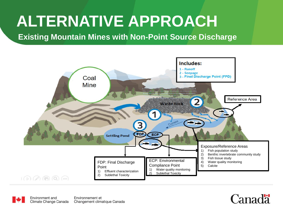## **ALTERNATIVE APPROACH**

### **Existing Mountain Mines with Non-Point Source Discharge**





Environnement et Changement climatique Canada

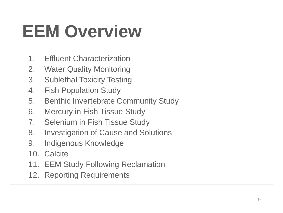## **EEM Overview**

- 1. Effluent Characterization
- 2. Water Quality Monitoring
- 3. Sublethal Toxicity Testing
- 4. Fish Population Study
- 5. Benthic Invertebrate Community Study
- 6. Mercury in Fish Tissue Study
- 7. Selenium in Fish Tissue Study
- 8. Investigation of Cause and Solutions
- 9. Indigenous Knowledge
- 10. Calcite
- 11. EEM Study Following Reclamation
- 12. Reporting Requirements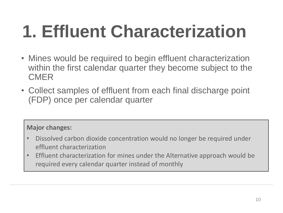# **1. Effluent Characterization**

- Mines would be required to begin effluent characterization within the first calendar quarter they become subject to the CMER
- Collect samples of effluent from each final discharge point (FDP) once per calendar quarter

### **Major changes:**

- Dissolved carbon dioxide concentration would no longer be required under effluent characterization
- Effluent characterization for mines under the Alternative approach would be required every calendar quarter instead of monthly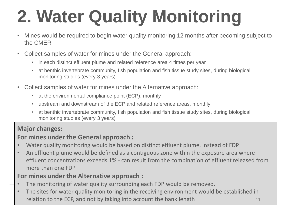# **2. Water Quality Monitoring**

- Mines would be required to begin water quality monitoring 12 months after becoming subject to the CMER
- Collect samples of water for mines under the General approach:
	- in each distinct effluent plume and related reference area 4 times per year
	- at benthic invertebrate community, fish population and fish tissue study sites, during biological monitoring studies (every 3 years)
- Collect samples of water for mines under the Alternative approach:
	- at the environmental compliance point (ECP), monthly
	- upstream and downstream of the ECP and related reference areas, monthly
	- at benthic invertebrate community, fish population and fish tissue study sites, during biological monitoring studies (every 3 years)

### **Major changes:**

### **For mines under the General approach :**

- Water quality monitoring would be based on distinct effluent plume, instead of FDP
- An effluent plume would be defined as a contiguous zone within the exposure area where effluent concentrations exceeds 1% - can result from the combination of effluent released from more than one FDP

### **For mines under the Alternative approach :**

- The monitoring of water quality surrounding each FDP would be removed.
- The sites for water quality monitoring in the receiving environment would be established in relation to the ECP, and not by taking into account the bank length 11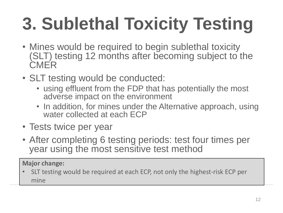# **3. Sublethal Toxicity Testing**

- Mines would be required to begin sublethal toxicity (SLT) testing 12 months after becoming subject to the **CMER**
- SLT testing would be conducted:
	- using effluent from the FDP that has potentially the most adverse impact on the environment
	- In addition, for mines under the Alternative approach, using water collected at each ECP
- Tests twice per year
- After completing 6 testing periods: test four times per year using the most sensitive test method

**Major change:**

• SLT testing would be required at each ECP, not only the highest-risk ECP per mine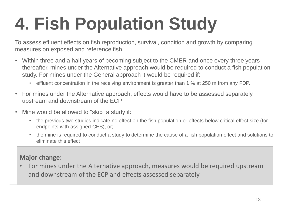# **4. Fish Population Study**

To assess effluent effects on fish reproduction, survival, condition and growth by comparing measures on exposed and reference fish.

- Within three and a half years of becoming subject to the CMER and once every three years thereafter, mines under the Alternative approach would be required to conduct a fish population study. For mines under the General approach it would be required if:
	- effluent concentration in the receiving environment is greater than 1 % at 250 m from any FDP.
- For mines under the Alternative approach, effects would have to be assessed separately upstream and downstream of the ECP
- Mine would be allowed to "skip" a study if:
	- the previous two studies indicate no effect on the fish population or effects below critical effect size (for endpoints with assigned CES), or;
	- the mine is required to conduct a study to determine the cause of a fish population effect and solutions to eliminate this effect

#### **Major change:**

• For mines under the Alternative approach, measures would be required upstream and downstream of the ECP and effects assessed separately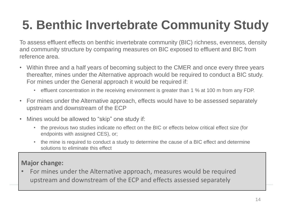### **5. Benthic Invertebrate Community Study**

To assess effluent effects on benthic invertebrate community (BIC) richness, evenness, density and community structure by comparing measures on BIC exposed to effluent and BIC from reference area.

- Within three and a half years of becoming subject to the CMER and once every three years thereafter, mines under the Alternative approach would be required to conduct a BIC study. For mines under the General approach it would be required if:
	- effluent concentration in the receiving environment is greater than 1 % at 100 m from any FDP.
- For mines under the Alternative approach, effects would have to be assessed separately upstream and downstream of the ECP
- Mines would be allowed to "skip" one study if:
	- the previous two studies indicate no effect on the BIC or effects below critical effect size (for endpoints with assigned CES), or;
	- the mine is required to conduct a study to determine the cause of a BIC effect and determine solutions to eliminate this effect

### **Major change:**

• For mines under the Alternative approach, measures would be required upstream and downstream of the ECP and effects assessed separately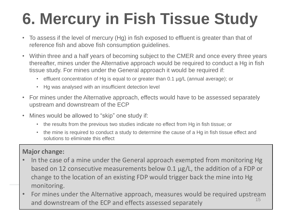## **6. Mercury in Fish Tissue Study**

- To assess if the level of mercury (Hg) in fish exposed to effluent is greater than that of reference fish and above fish consumption guidelines.
- Within three and a half years of becoming subject to the CMER and once every three years thereafter, mines under the Alternative approach would be required to conduct a Hg in fish tissue study. For mines under the General approach it would be required if:
	- effluent concentration of Hg is equal to or greater than 0.1 µg/L (annual average); or
	- Hg was analysed with an insufficient detection level
- For mines under the Alternative approach, effects would have to be assessed separately upstream and downstream of the ECP
- Mines would be allowed to "skip" one study if:
	- the results from the previous two studies indicate no effect from Hg in fish tissue; or
	- the mine is required to conduct a study to determine the cause of a Hg in fish tissue effect and solutions to eliminate this effect

#### **Major change:**

- In the case of a mine under the General approach exempted from monitoring Hg based on 12 consecutive measurements below 0.1 µg/L, the addition of a FDP or change to the location of an existing FDP would trigger back the mine into Hg monitoring.
- For mines under the Alternative approach, measures would be required upstream  $15$ and downstream of the ECP and effects assessed separately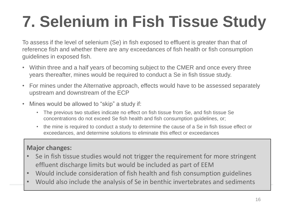## **7. Selenium in Fish Tissue Study**

To assess if the level of selenium (Se) in fish exposed to effluent is greater than that of reference fish and whether there are any exceedances of fish health or fish consumption guidelines in exposed fish.

- Within three and a half years of becoming subject to the CMER and once every three years thereafter, mines would be required to conduct a Se in fish tissue study.
- For mines under the Alternative approach, effects would have to be assessed separately upstream and downstream of the ECP
- Mines would be allowed to "skip" a study if:
	- The previous two studies indicate no effect on fish tissue from Se, and fish tissue Se concentrations do not exceed Se fish health and fish consumption guidelines, or;
	- the mine is required to conduct a study to determine the cause of a Se in fish tissue effect or exceedances, and determine solutions to eliminate this effect or exceedances

### **Major changes:**

- Se in fish tissue studies would not trigger the requirement for more stringent effluent discharge limits but would be included as part of EEM
- Would include consideration of fish health and fish consumption guidelines
- Would also include the analysis of Se in benthic invertebrates and sediments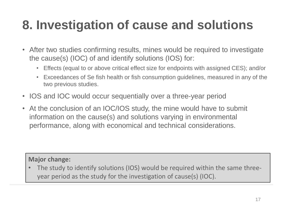### **8. Investigation of cause and solutions**

- After two studies confirming results, mines would be required to investigate the cause(s) (IOC) of and identify solutions (IOS) for:
	- Effects (equal to or above critical effect size for endpoints with assigned CES); and/or
	- Exceedances of Se fish health or fish consumption guidelines, measured in any of the two previous studies.
- IOS and IOC would occur sequentially over a three-year period
- At the conclusion of an IOC/IOS study, the mine would have to submit information on the cause(s) and solutions varying in environmental performance, along with economical and technical considerations.

**Major change:**

• The study to identify solutions (IOS) would be required within the same threeyear period as the study for the investigation of cause(s) (IOC).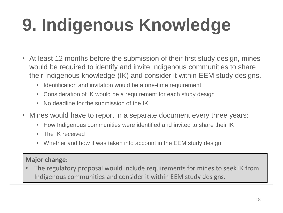# **9. Indigenous Knowledge**

- At least 12 months before the submission of their first study design, mines would be required to identify and invite Indigenous communities to share their Indigenous knowledge (IK) and consider it within EEM study designs.
	- Identification and invitation would be a one-time requirement
	- Consideration of IK would be a requirement for each study design
	- No deadline for the submission of the IK
- Mines would have to report in a separate document every three years:
	- How Indigenous communities were identified and invited to share their IK
	- The IK received
	- Whether and how it was taken into account in the EEM study design

### **Major change:**

The regulatory proposal would include requirements for mines to seek IK from Indigenous communities and consider it within EEM study designs.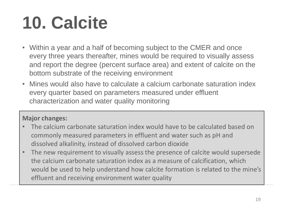# **10. Calcite**

- Within a year and a half of becoming subject to the CMER and once every three years thereafter, mines would be required to visually assess and report the degree (percent surface area) and extent of calcite on the bottom substrate of the receiving environment
- Mines would also have to calculate a calcium carbonate saturation index every quarter based on parameters measured under effluent characterization and water quality monitoring

### **Major changes:**

- The calcium carbonate saturation index would have to be calculated based on commonly measured parameters in effluent and water such as pH and dissolved alkalinity, instead of dissolved carbon dioxide
- The new requirement to visually assess the presence of calcite would supersede the calcium carbonate saturation index as a measure of calcification, which would be used to help understand how calcite formation is related to the mine's effluent and receiving environment water quality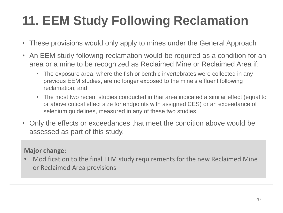### **11. EEM Study Following Reclamation**

- These provisions would only apply to mines under the General Approach
- An EEM study following reclamation would be required as a condition for an area or a mine to be recognized as Reclaimed Mine or Reclaimed Area if:
	- The exposure area, where the fish or benthic invertebrates were collected in any previous EEM studies, are no longer exposed to the mine's effluent following reclamation; and
	- The most two recent studies conducted in that area indicated a similar effect (equal to or above critical effect size for endpoints with assigned CES) or an exceedance of selenium guidelines, measured in any of these two studies.
- Only the effects or exceedances that meet the condition above would be assessed as part of this study.

### **Major change:**

• Modification to the final EEM study requirements for the new Reclaimed Mine or Reclaimed Area provisions